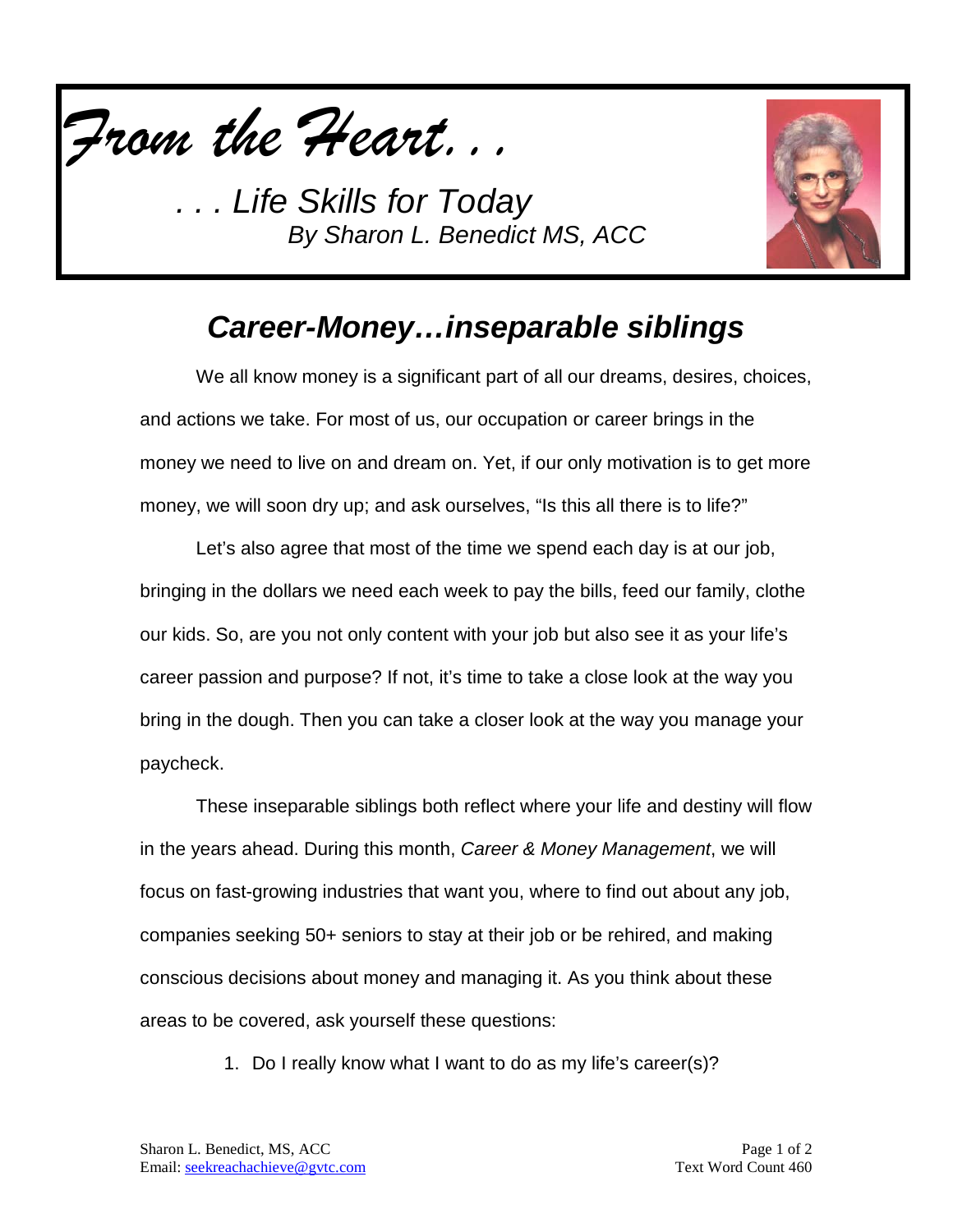

*. . . Life Skills for Today By Sharon L. Benedict MS, ACC*



## *Career-Money…inseparable siblings*

We all know money is a significant part of all our dreams, desires, choices, and actions we take. For most of us, our occupation or career brings in the money we need to live on and dream on. Yet, if our only motivation is to get more money, we will soon dry up; and ask ourselves, "Is this all there is to life?"

Let's also agree that most of the time we spend each day is at our job, bringing in the dollars we need each week to pay the bills, feed our family, clothe our kids. So, are you not only content with your job but also see it as your life's career passion and purpose? If not, it's time to take a close look at the way you bring in the dough. Then you can take a closer look at the way you manage your paycheck.

These inseparable siblings both reflect where your life and destiny will flow in the years ahead. During this month, *Career & Money Management*, we will focus on fast-growing industries that want you, where to find out about any job, companies seeking 50+ seniors to stay at their job or be rehired, and making conscious decisions about money and managing it. As you think about these areas to be covered, ask yourself these questions:

1. Do I really know what I want to do as my life's career(s)?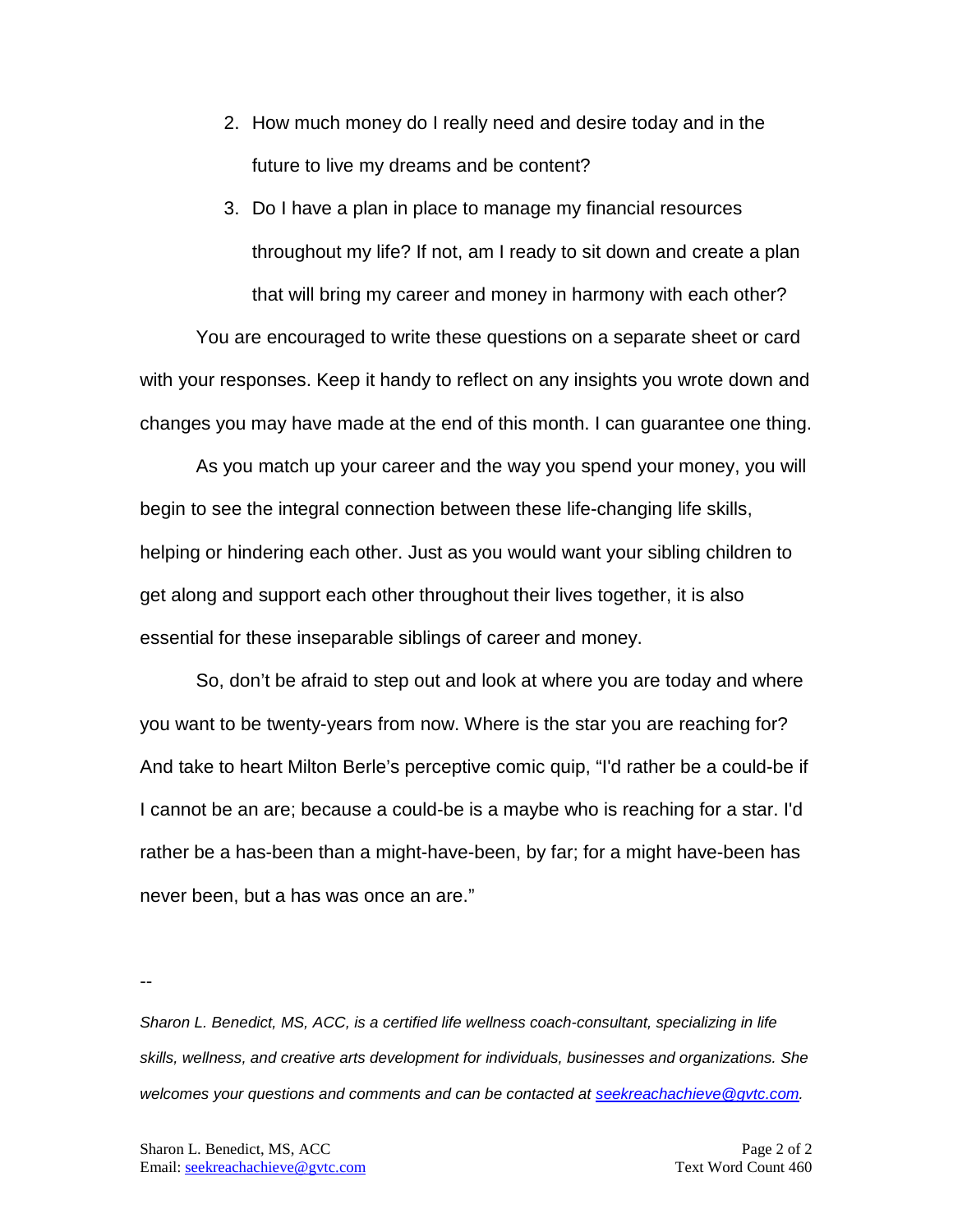- 2. How much money do I really need and desire today and in the future to live my dreams and be content?
- 3. Do I have a plan in place to manage my financial resources throughout my life? If not, am I ready to sit down and create a plan that will bring my career and money in harmony with each other?

You are encouraged to write these questions on a separate sheet or card with your responses. Keep it handy to reflect on any insights you wrote down and changes you may have made at the end of this month. I can guarantee one thing.

As you match up your career and the way you spend your money, you will begin to see the integral connection between these life-changing life skills, helping or hindering each other. Just as you would want your sibling children to get along and support each other throughout their lives together, it is also essential for these inseparable siblings of career and money.

So, don't be afraid to step out and look at where you are today and where you want to be twenty-years from now. Where is the star you are reaching for? And take to heart Milton Berle's perceptive comic quip, "I'd rather be a could-be if I cannot be an are; because a could-be is a maybe who is reaching for a star. I'd rather be a has-been than a might-have-been, by far; for a might have-been has never been, but a has was once an are."

--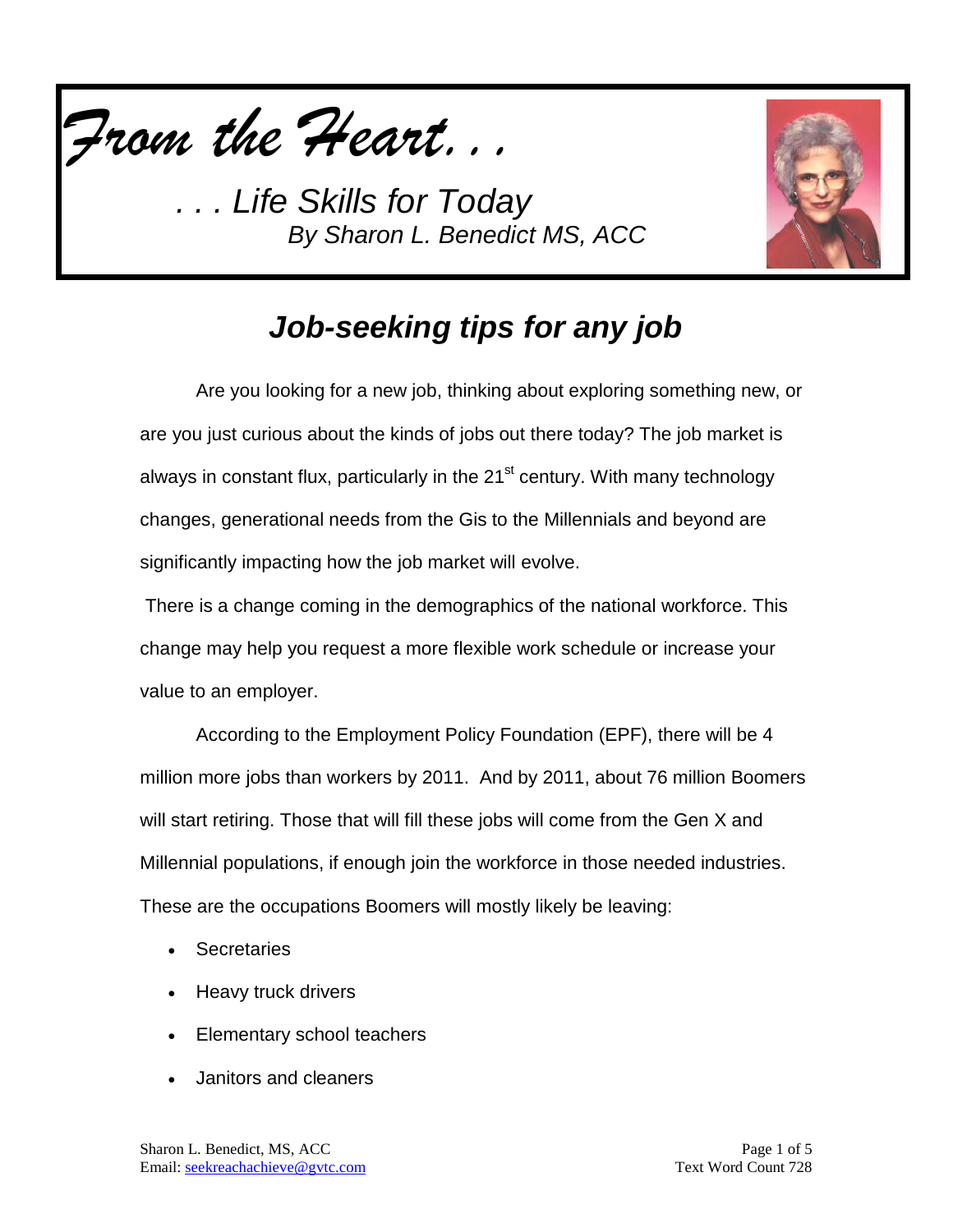

*. Life Skills for Today By Sharon L. Benedict MS, ACC*



# *Job-seeking tips for any job*

Are you looking for a new job, thinking about exploring something new, or are you just curious about the kinds of jobs out there today? The job market is always in constant flux, particularly in the 21<sup>st</sup> century. With many technology changes, generational needs from the Gis to the Millennials and beyond are significantly impacting how the job market will evolve.

There is a change coming in the demographics of the national workforce. This change may help you request a more flexible work schedule or increase your value to an employer.

According to the Employment Policy Foundation (EPF), there will be 4 million more jobs than workers by 2011. And by 2011, about 76 million Boomers will start retiring. Those that will fill these jobs will come from the Gen X and Millennial populations, if enough join the workforce in those needed industries. These are the occupations Boomers will mostly likely be leaving:

- **Secretaries**
- Heavy truck drivers
- Elementary school teachers
- Janitors and cleaners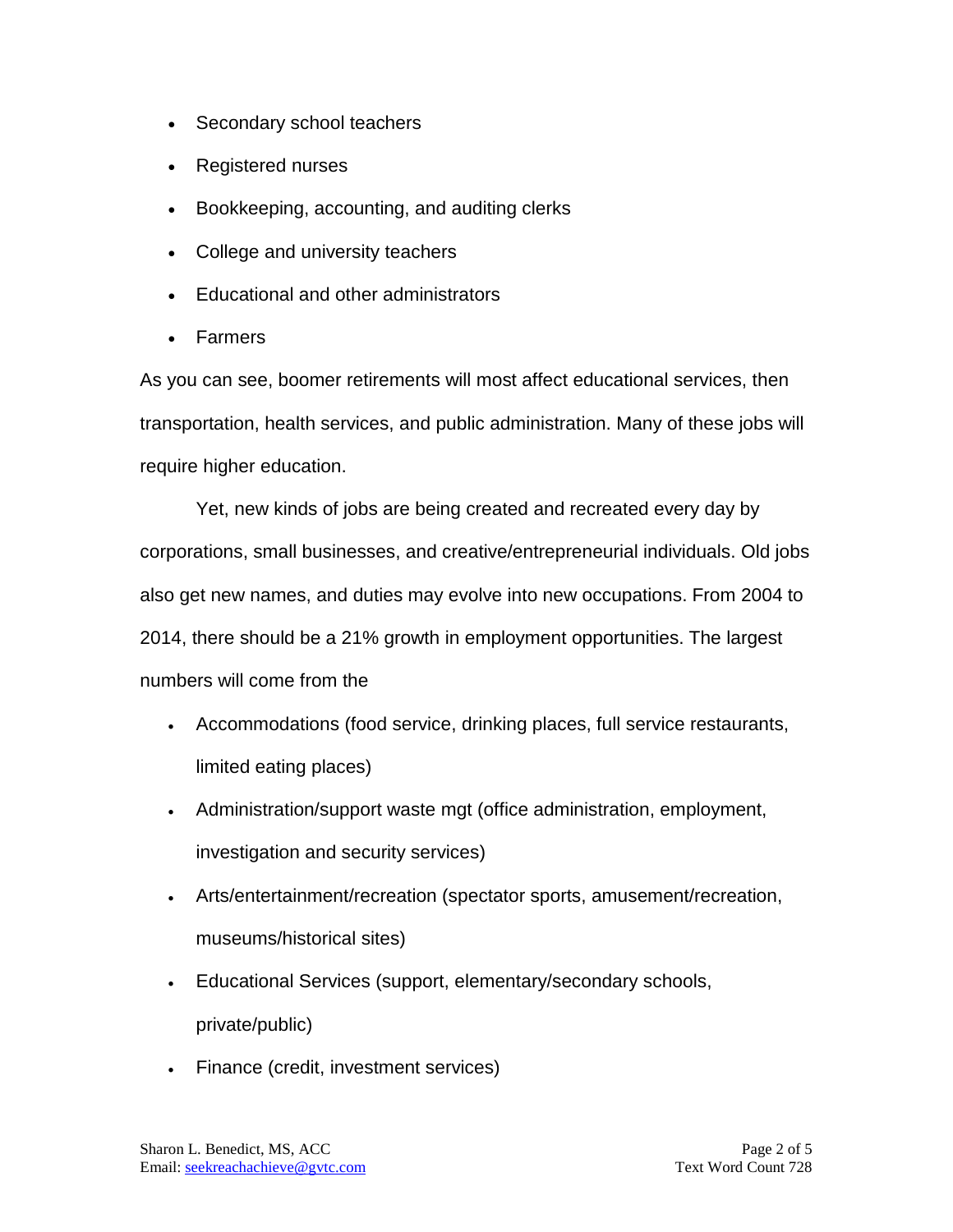- Secondary school teachers
- Registered nurses
- Bookkeeping, accounting, and auditing clerks
- College and university teachers
- Educational and other administrators
- Farmers

As you can see, boomer retirements will most affect educational services, then transportation, health services, and public administration. Many of these jobs will require higher education.

Yet, new kinds of jobs are being created and recreated every day by corporations, small businesses, and creative/entrepreneurial individuals. Old jobs also get new names, and duties may evolve into new occupations. From 2004 to 2014, there should be a 21% growth in employment opportunities. The largest numbers will come from the

- Accommodations (food service, drinking places, full service restaurants, limited eating places)
- Administration/support waste mgt (office administration, employment, investigation and security services)
- Arts/entertainment/recreation (spectator sports, amusement/recreation, museums/historical sites)
- Educational Services (support, elementary/secondary schools, private/public)
- Finance (credit, investment services)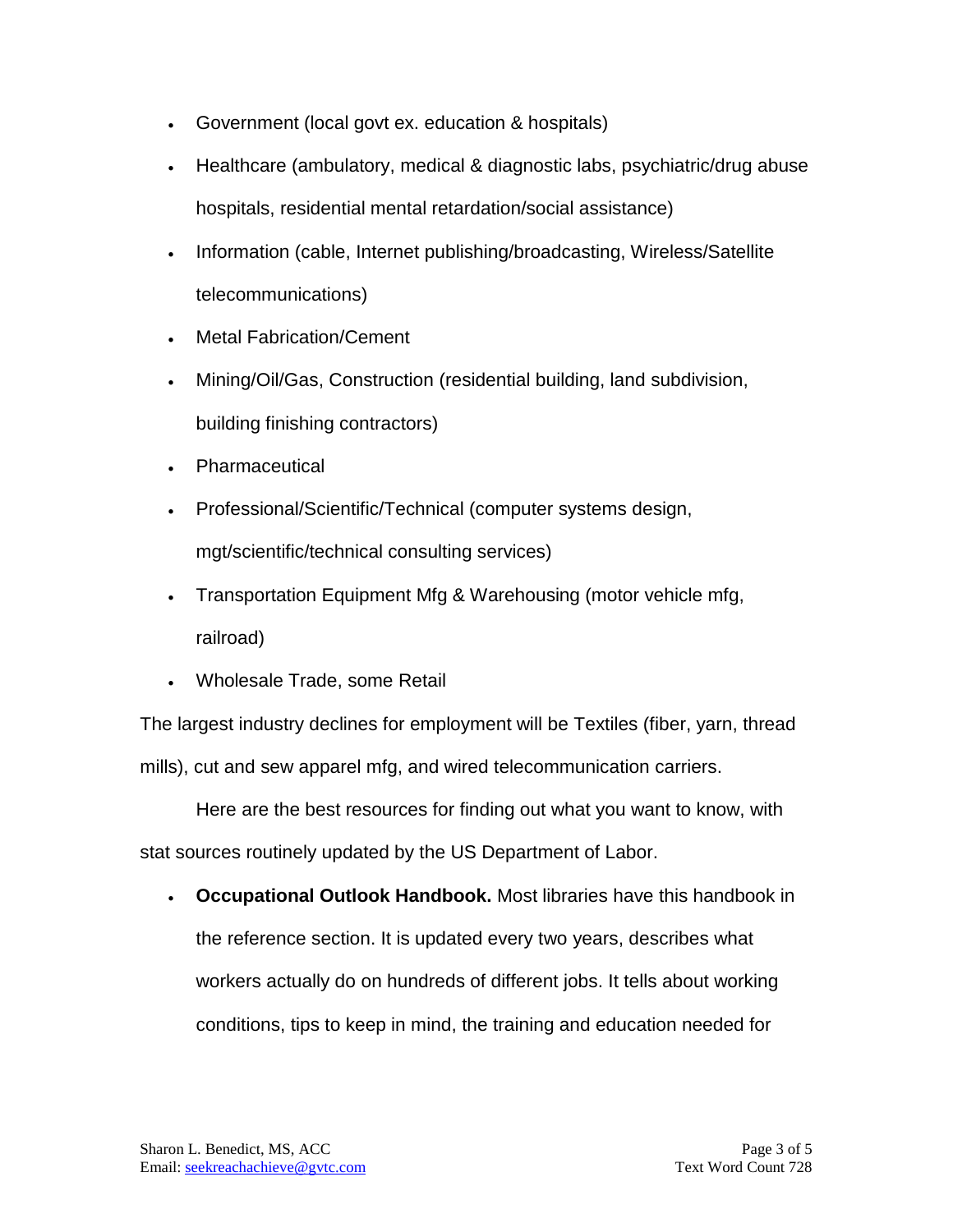- Government (local govt ex. education & hospitals)
- Healthcare (ambulatory, medical & diagnostic labs, psychiatric/drug abuse hospitals, residential mental retardation/social assistance)
- Information (cable, Internet publishing/broadcasting, Wireless/Satellite telecommunications)
- Metal Fabrication/Cement
- Mining/Oil/Gas, Construction (residential building, land subdivision, building finishing contractors)
- Pharmaceutical
- Professional/Scientific/Technical (computer systems design, mgt/scientific/technical consulting services)
- Transportation Equipment Mfg & Warehousing (motor vehicle mfg, railroad)
- Wholesale Trade, some Retail

The largest industry declines for employment will be Textiles (fiber, yarn, thread mills), cut and sew apparel mfg, and wired telecommunication carriers.

Here are the best resources for finding out what you want to know, with stat sources routinely updated by the US Department of Labor.

• **Occupational Outlook Handbook.** Most libraries have this handbook in the reference section. It is updated every two years, describes what workers actually do on hundreds of different jobs. It tells about working conditions, tips to keep in mind, the training and education needed for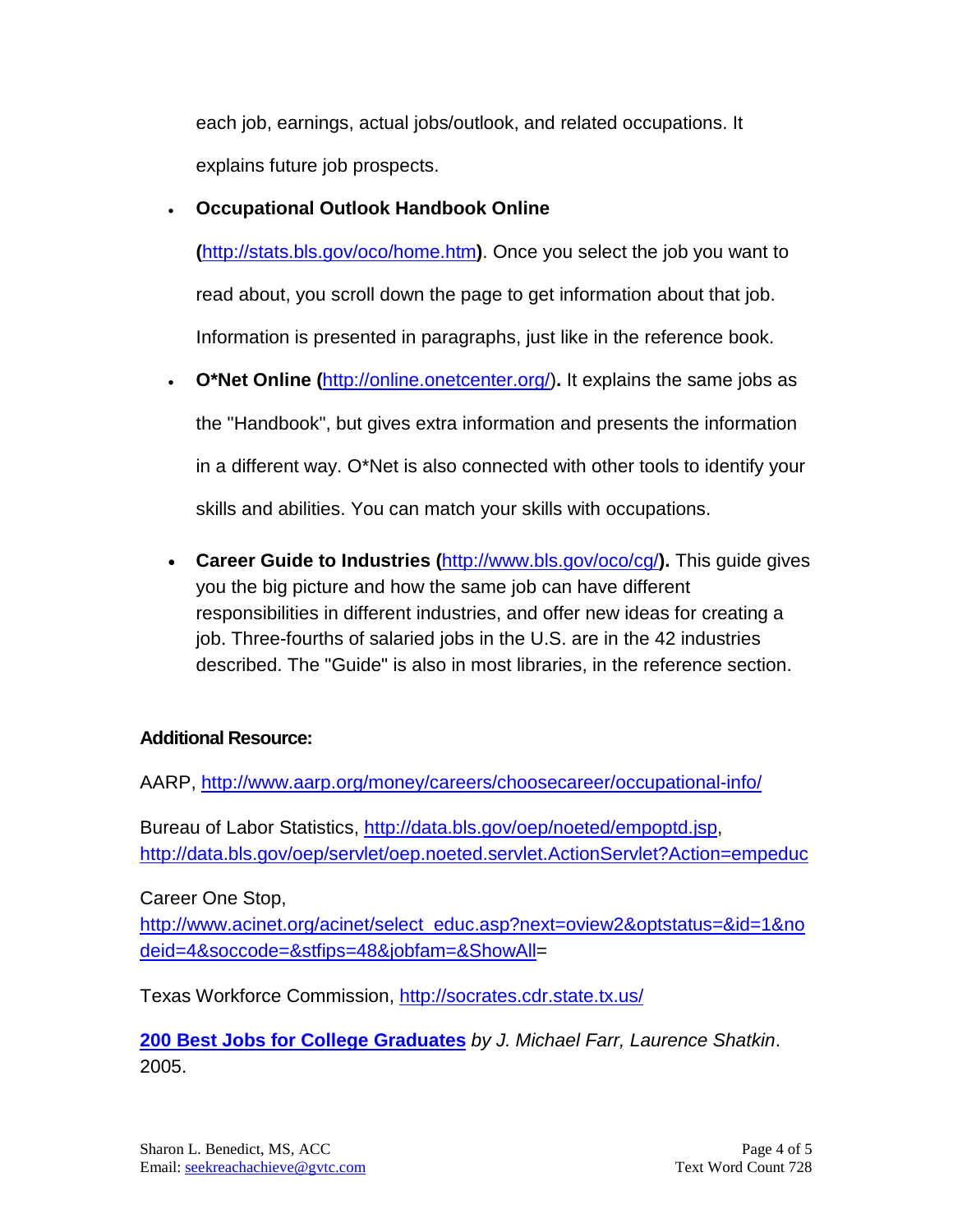each job, earnings, actual jobs/outlook, and related occupations. It explains future job prospects.

#### • **Occupational Outlook Handbook Online**

**(**<http://stats.bls.gov/oco/home.htm>**)**. Once you select the job you want to read about, you scroll down the page to get information about that job. Information is presented in paragraphs, just like in the reference book.

- **O\*Net Online (**[http://online.onetcenter.org/\)](http://online.onetcenter.org/)**.** It explains the same jobs as the "Handbook", but gives extra information and presents the information in a different way. O\*Net is also connected with other tools to identify your skills and abilities. You can match your skills with occupations.
- **Career Guide to Industries (**<http://www.bls.gov/oco/cg/>**).** This guide gives you the big picture and how the same job can have different responsibilities in different industries, and offer new ideas for creating a job. Three-fourths of salaried jobs in the U.S. are in the 42 industries described. The "Guide" is also in most libraries, in the reference section.

### **Additional Resource:**

AARP,<http://www.aarp.org/money/careers/choosecareer/occupational-info/>

Bureau of Labor Statistics, [http://data.bls.gov/oep/noeted/empoptd.jsp,](http://data.bls.gov/oep/noeted/empoptd.jsp) <http://data.bls.gov/oep/servlet/oep.noeted.servlet.ActionServlet?Action=empeduc>

Career One Stop,

[http://www.acinet.org/acinet/select\\_educ.asp?next=oview2&optstatus=&id=1&no](http://www.acinet.org/acinet/select_educ.asp?next=oview2&optstatus=&id=1&nodeid=4&soccode=&stfips=48&jobfam=&ShowAll) [deid=4&soccode=&stfips=48&jobfam=&ShowAll=](http://www.acinet.org/acinet/select_educ.asp?next=oview2&optstatus=&id=1&nodeid=4&soccode=&stfips=48&jobfam=&ShowAll)

Texas Workforce Commission,<http://socrates.cdr.state.tx.us/>

**[200 Best Jobs for College Graduates](http://btobsearch.barnesandnoble.com/200-Best-Jobs-for-College-Graduates/J-Michael-Farr/e/9781593572419/?itm=1&btob=Y)** *by J. Michael Farr, Laurence Shatkin*. 2005.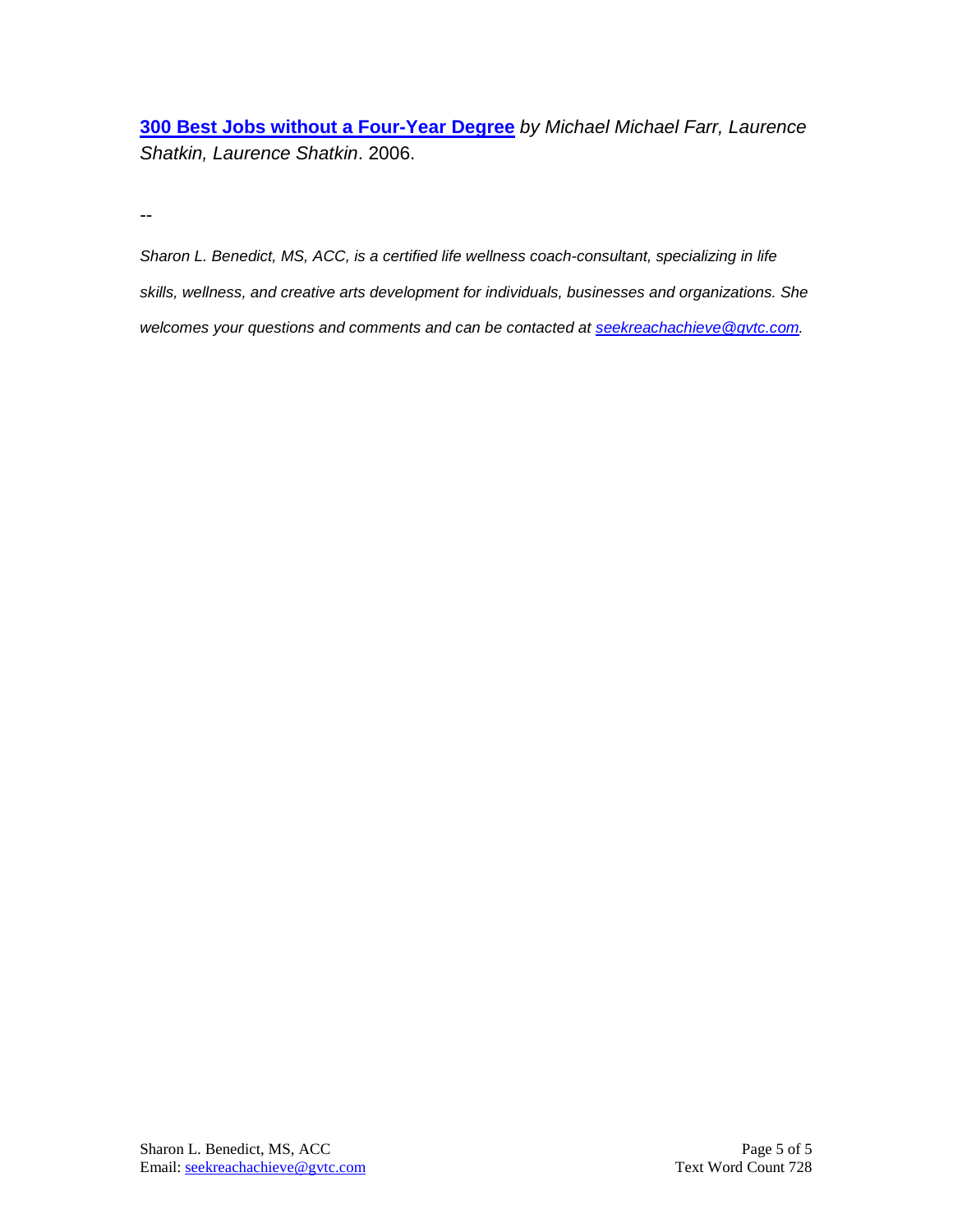**[300 Best Jobs without a Four-Year Degree](http://btobsearch.barnesandnoble.com/300-Best-Jobs-without-a-Four-Year-Degree/Michael-Michael-Farr/e/9781593572426/?itm=1&btob=Y)** *by Michael Michael Farr, Laurence Shatkin, Laurence Shatkin*. 2006.

--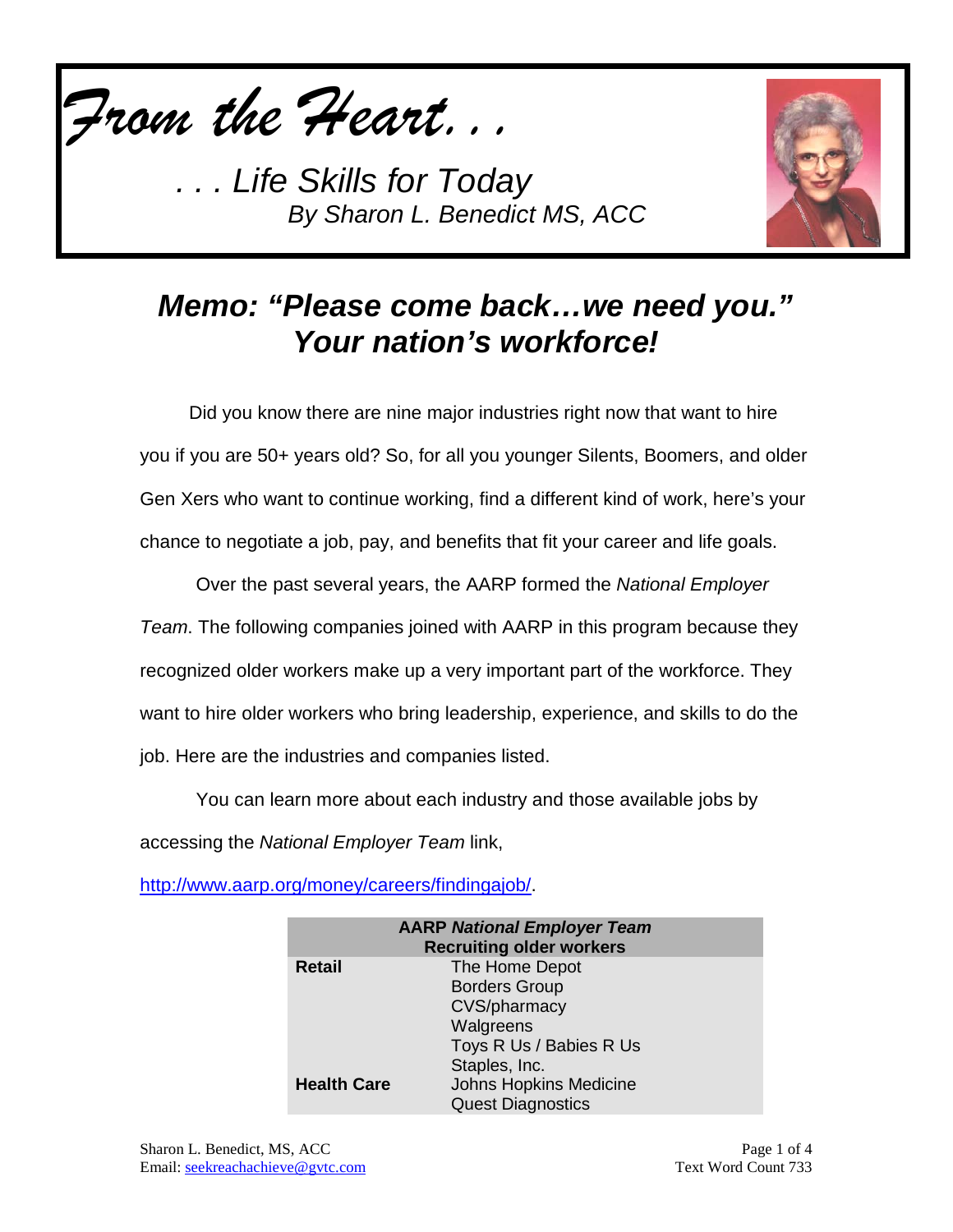

**Life Skills for Today** *By Sharon L. Benedict MS, ACC*



# *Memo: "Please come back…we need you." Your nation's workforce!*

Did you know there are nine major industries right now that want to hire you if you are 50+ years old? So, for all you younger Silents, Boomers, and older Gen Xers who want to continue working, find a different kind of work, here's your chance to negotiate a job, pay, and benefits that fit your career and life goals.

Over the past several years, the AARP formed the *National Employer Team*. The following companies joined with AARP in this program because they recognized older workers make up a very important part of the workforce. They want to hire older workers who bring leadership, experience, and skills to do the job. Here are the industries and companies listed.

You can learn more about each industry and those available jobs by accessing the *National Employer Team* link,

[http://www.aarp.org/money/careers/findingajob/.](http://www.aarp.org/money/careers/findingajob/)

| <b>AARP National Employer Team</b><br><b>Recruiting older workers</b> |                               |
|-----------------------------------------------------------------------|-------------------------------|
| <b>Retail</b>                                                         | The Home Depot                |
|                                                                       | <b>Borders Group</b>          |
|                                                                       | CVS/pharmacy                  |
|                                                                       | Walgreens                     |
|                                                                       | Toys R Us / Babies R Us       |
|                                                                       | Staples, Inc.                 |
| <b>Health Care</b>                                                    | <b>Johns Hopkins Medicine</b> |
|                                                                       | <b>Quest Diagnostics</b>      |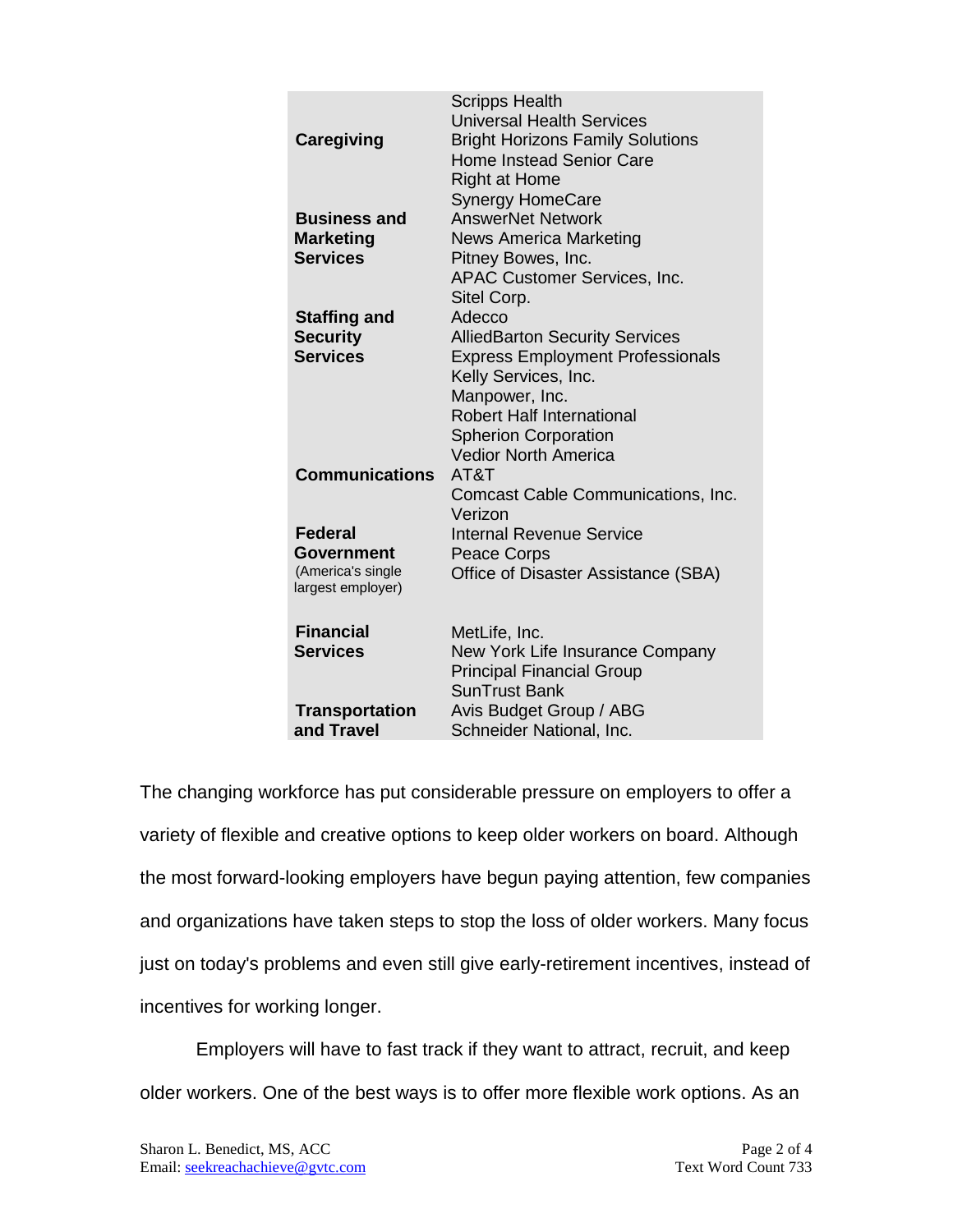|                                        | <b>Scripps Health</b>                                           |
|----------------------------------------|-----------------------------------------------------------------|
|                                        | <b>Universal Health Services</b>                                |
| Caregiving                             | <b>Bright Horizons Family Solutions</b>                         |
|                                        | <b>Home Instead Senior Care</b>                                 |
|                                        | <b>Right at Home</b>                                            |
|                                        | <b>Synergy HomeCare</b>                                         |
| <b>Business and</b>                    | <b>AnswerNet Network</b>                                        |
| <b>Marketing</b>                       | <b>News America Marketing</b>                                   |
| <b>Services</b>                        | Pitney Bowes, Inc.                                              |
|                                        | <b>APAC Customer Services, Inc.</b>                             |
|                                        | Sitel Corp.                                                     |
| <b>Staffing and</b>                    | Adecco                                                          |
| <b>Security</b>                        | <b>AlliedBarton Security Services</b>                           |
| <b>Services</b>                        |                                                                 |
|                                        | <b>Express Employment Professionals</b><br>Kelly Services, Inc. |
|                                        |                                                                 |
|                                        | Manpower, Inc.                                                  |
|                                        | <b>Robert Half International</b>                                |
|                                        | <b>Spherion Corporation</b>                                     |
|                                        | <b>Vedior North America</b>                                     |
| <b>Communications</b>                  | AT&T                                                            |
|                                        | Comcast Cable Communications, Inc.                              |
|                                        | Verizon                                                         |
| <b>Federal</b>                         | Internal Revenue Service                                        |
| Government                             | <b>Peace Corps</b>                                              |
| (America's single<br>largest employer) | Office of Disaster Assistance (SBA)                             |
|                                        |                                                                 |
| <b>Financial</b>                       | MetLife, Inc.                                                   |
| <b>Services</b>                        | New York Life Insurance Company                                 |
|                                        | <b>Principal Financial Group</b>                                |
|                                        | <b>SunTrust Bank</b>                                            |
|                                        |                                                                 |
| <b>Transportation</b>                  | Avis Budget Group / ABG                                         |
| and Travel                             | Schneider National, Inc.                                        |

The changing workforce has put considerable pressure on employers to offer a variety of flexible and creative options to keep older workers on board. Although the most forward-looking employers have begun paying attention, few companies and organizations have taken steps to stop the loss of older workers. Many focus just on today's problems and even still give early-retirement incentives, instead of incentives for working longer.

Employers will have to fast track if they want to attract, recruit, and keep older workers. One of the best ways is to offer more flexible work options. As an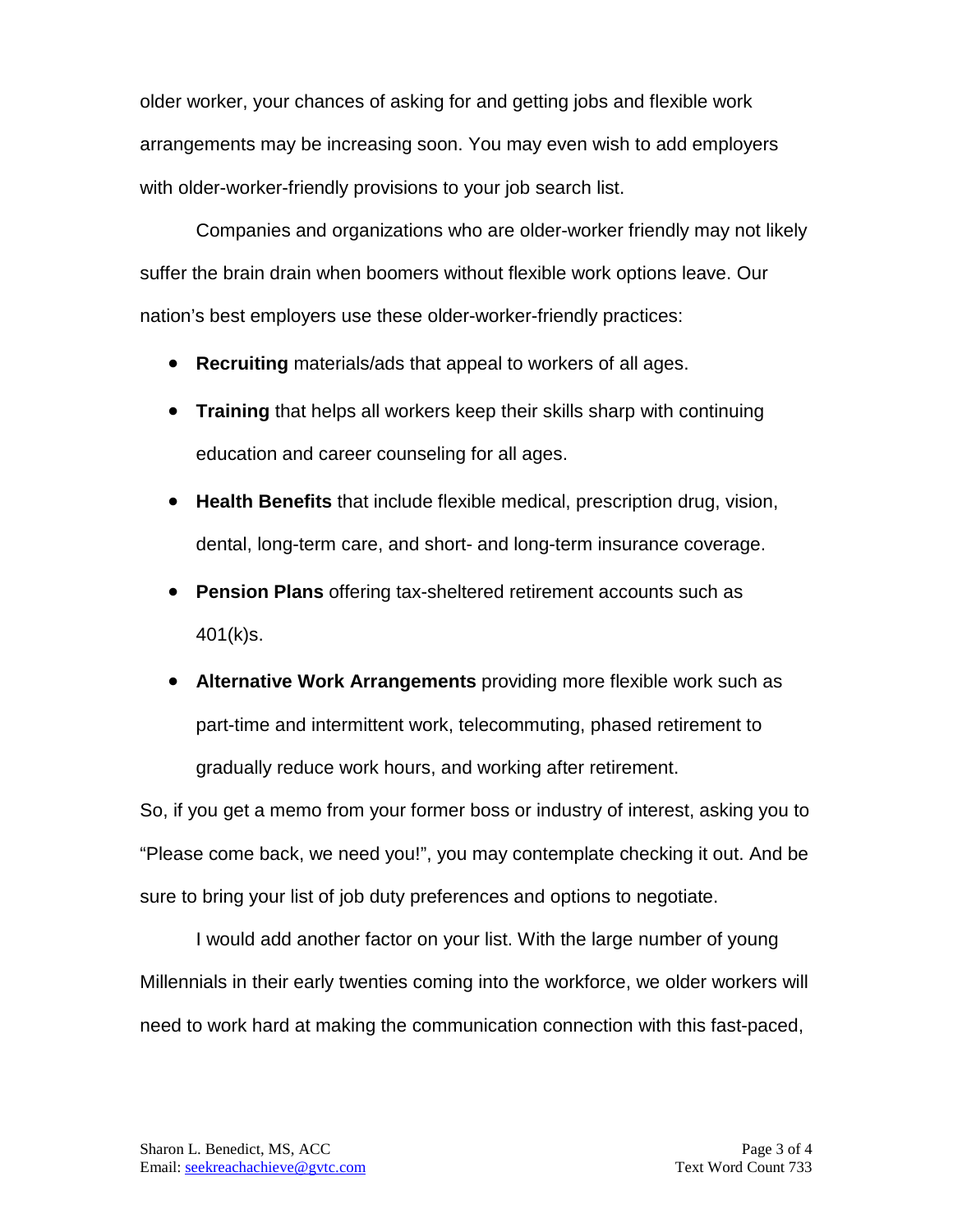older worker, your chances of asking for and getting jobs and flexible work arrangements may be increasing soon. You may even wish to add employers with older-worker-friendly provisions to your job search list.

Companies and organizations who are older-worker friendly may not likely suffer the brain drain when boomers without flexible work options leave. Our nation's best employers use these older-worker-friendly practices:

- **Recruiting** materials/ads that appeal to workers of all ages.
- **Training** that helps all workers keep their skills sharp with continuing education and career counseling for all ages.
- **Health Benefits** that include flexible medical, prescription drug, vision, dental, long-term care, and short- and long-term insurance coverage.
- **Pension Plans** offering tax-sheltered retirement accounts such as 401(k)s.
- **Alternative Work Arrangements** providing more flexible work such as part-time and intermittent work, telecommuting, phased retirement to gradually reduce work hours, and working after retirement.

So, if you get a memo from your former boss or industry of interest, asking you to "Please come back, we need you!", you may contemplate checking it out. And be sure to bring your list of job duty preferences and options to negotiate.

I would add another factor on your list. With the large number of young Millennials in their early twenties coming into the workforce, we older workers will need to work hard at making the communication connection with this fast-paced,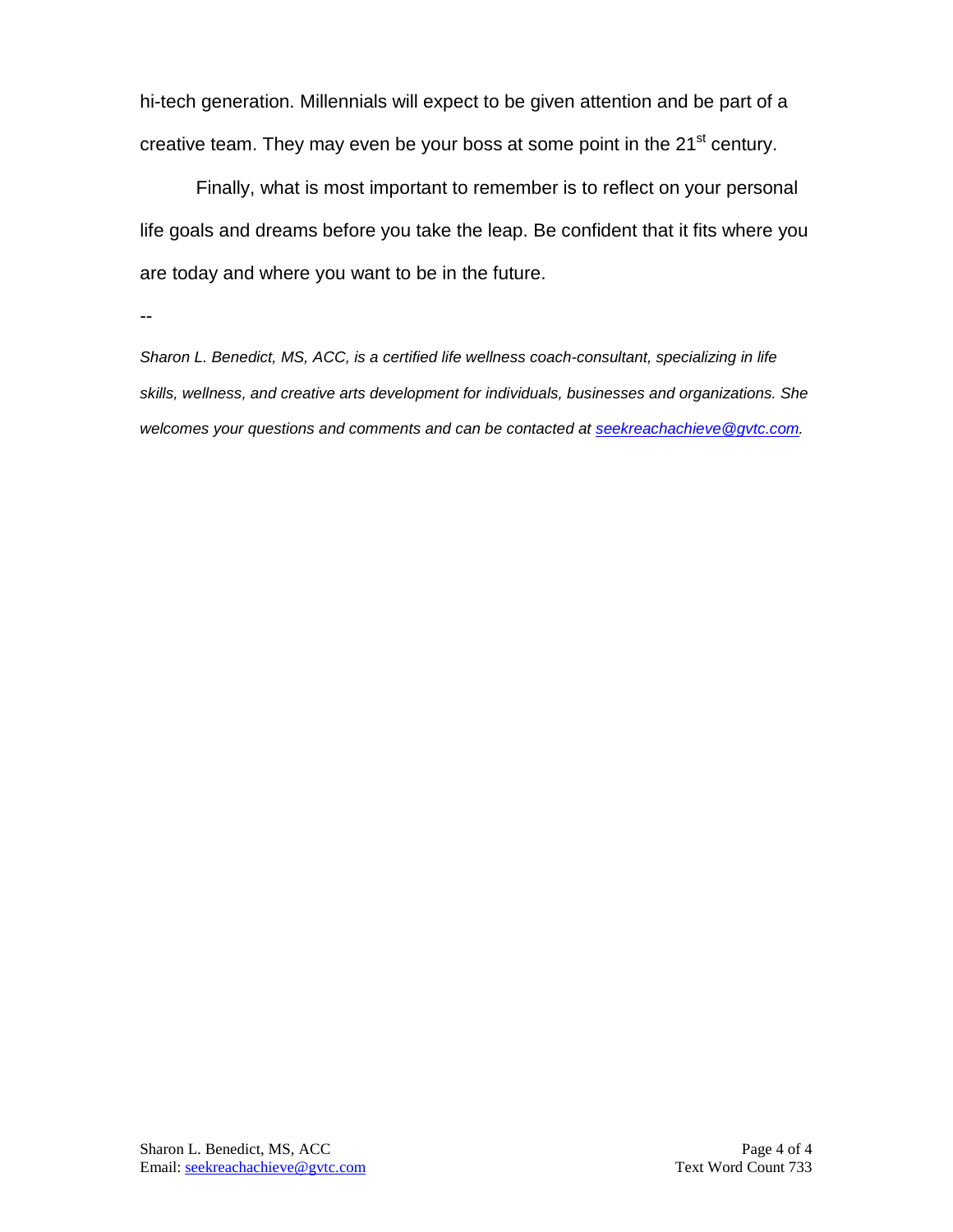hi-tech generation. Millennials will expect to be given attention and be part of a creative team. They may even be your boss at some point in the 21<sup>st</sup> century.

Finally, what is most important to remember is to reflect on your personal life goals and dreams before you take the leap. Be confident that it fits where you are today and where you want to be in the future.

--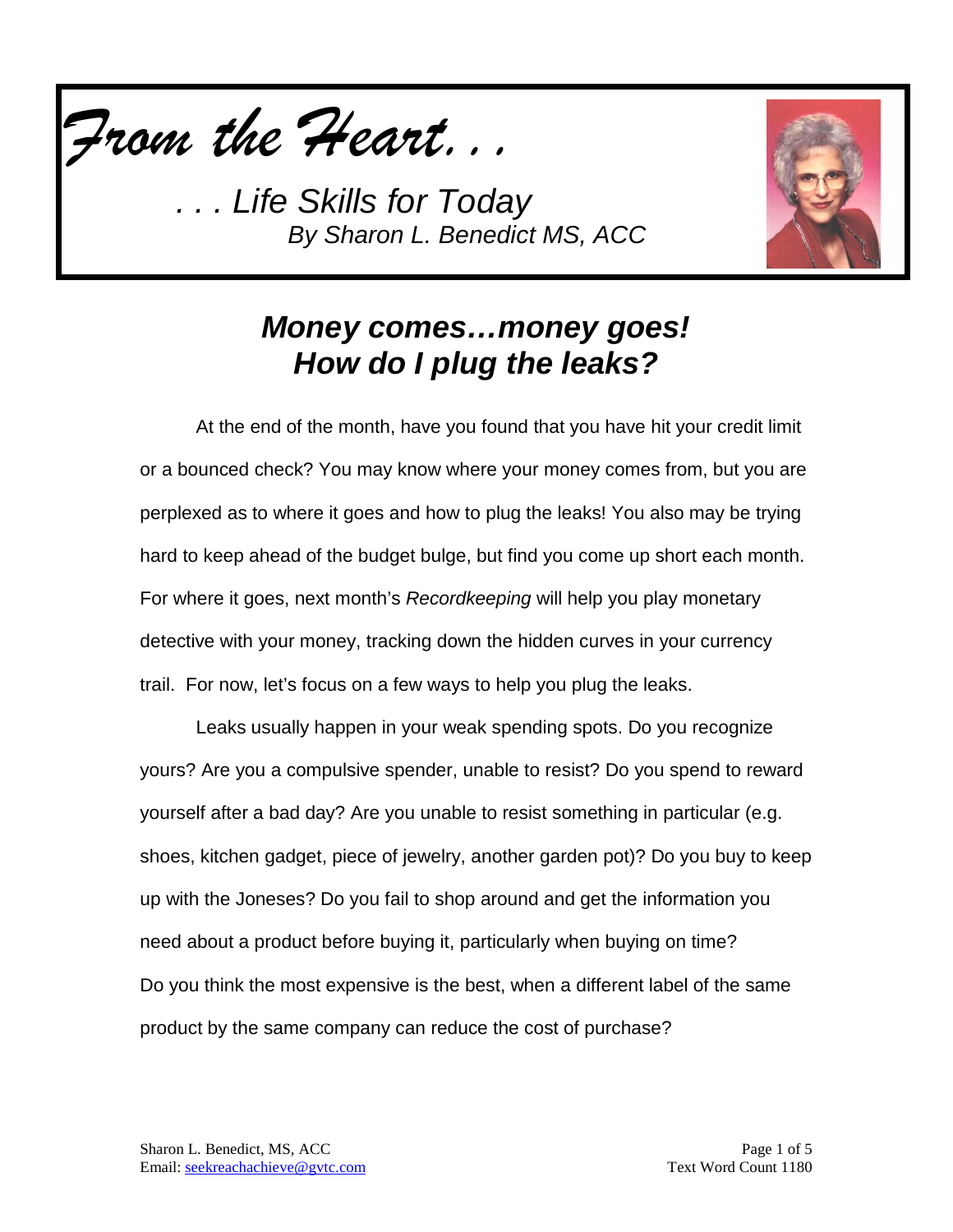

*. . . Life Skills for Today By Sharon L. Benedict MS, ACC*



### *Money comes…money goes! How do I plug the leaks?*

At the end of the month, have you found that you have hit your credit limit or a bounced check? You may know where your money comes from, but you are perplexed as to where it goes and how to plug the leaks! You also may be trying hard to keep ahead of the budget bulge, but find you come up short each month. For where it goes, next month's *Recordkeeping* will help you play monetary detective with your money, tracking down the hidden curves in your currency trail. For now, let's focus on a few ways to help you plug the leaks.

Leaks usually happen in your weak spending spots. Do you recognize yours? Are you a compulsive spender, unable to resist? Do you spend to reward yourself after a bad day? Are you unable to resist something in particular (e.g. shoes, kitchen gadget, piece of jewelry, another garden pot)? Do you buy to keep up with the Joneses? Do you fail to shop around and get the information you need about a product before buying it, particularly when buying on time? Do you think the most expensive is the best, when a different label of the same product by the same company can reduce the cost of purchase?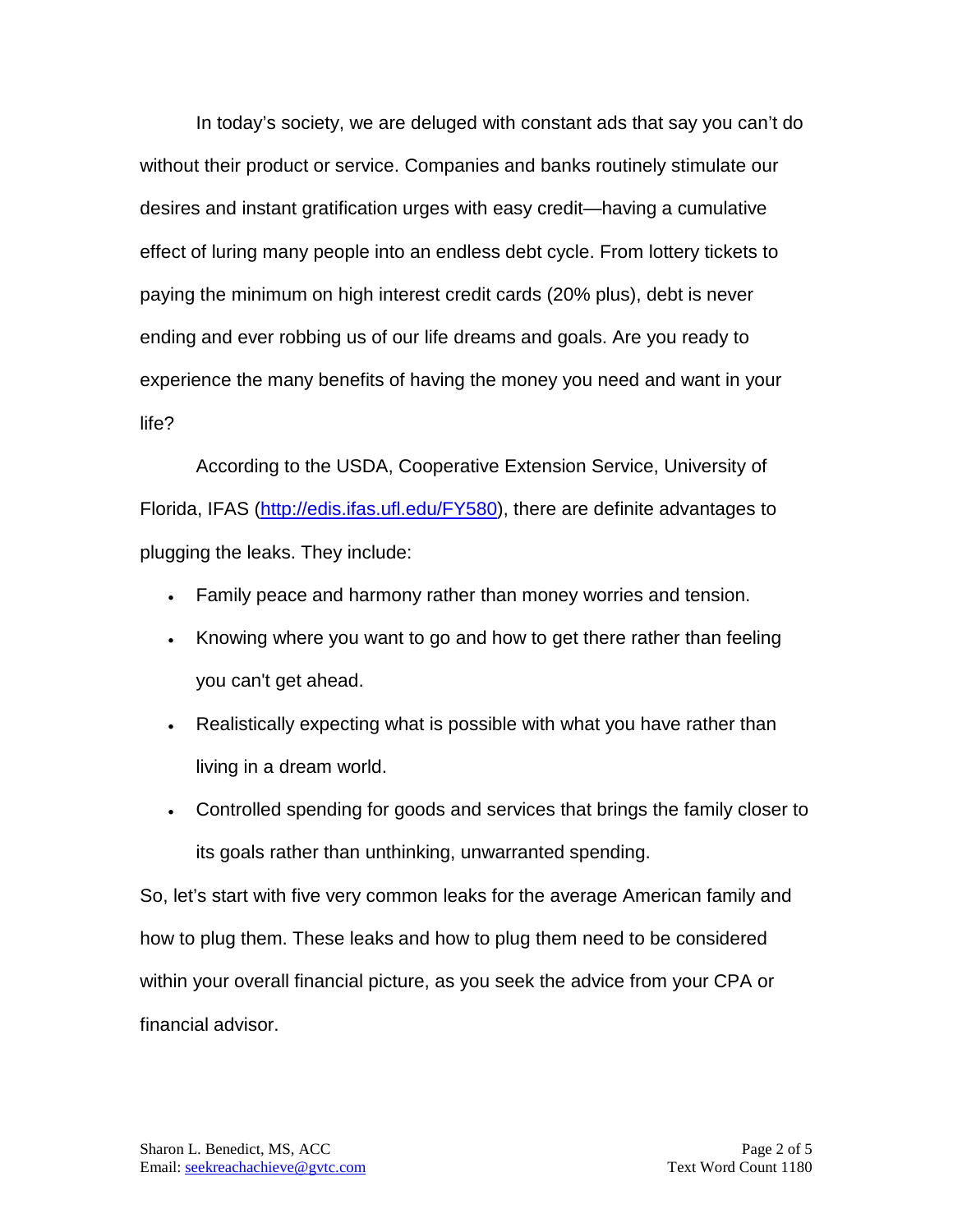In today's society, we are deluged with constant ads that say you can't do without their product or service. Companies and banks routinely stimulate our desires and instant gratification urges with easy credit—having a cumulative effect of luring many people into an endless debt cycle. From lottery tickets to paying the minimum on high interest credit cards (20% plus), debt is never ending and ever robbing us of our life dreams and goals. Are you ready to experience the many benefits of having the money you need and want in your life?

According to the USDA, Cooperative Extension Service, University of Florida, IFAS [\(http://edis.ifas.ufl.edu/FY580\)](http://edis.ifas.ufl.edu/FY580), there are definite advantages to plugging the leaks. They include:

- Family peace and harmony rather than money worries and tension.
- Knowing where you want to go and how to get there rather than feeling you can't get ahead.
- Realistically expecting what is possible with what you have rather than living in a dream world.
- Controlled spending for goods and services that brings the family closer to its goals rather than unthinking, unwarranted spending.

So, let's start with five very common leaks for the average American family and how to plug them. These leaks and how to plug them need to be considered within your overall financial picture, as you seek the advice from your CPA or financial advisor.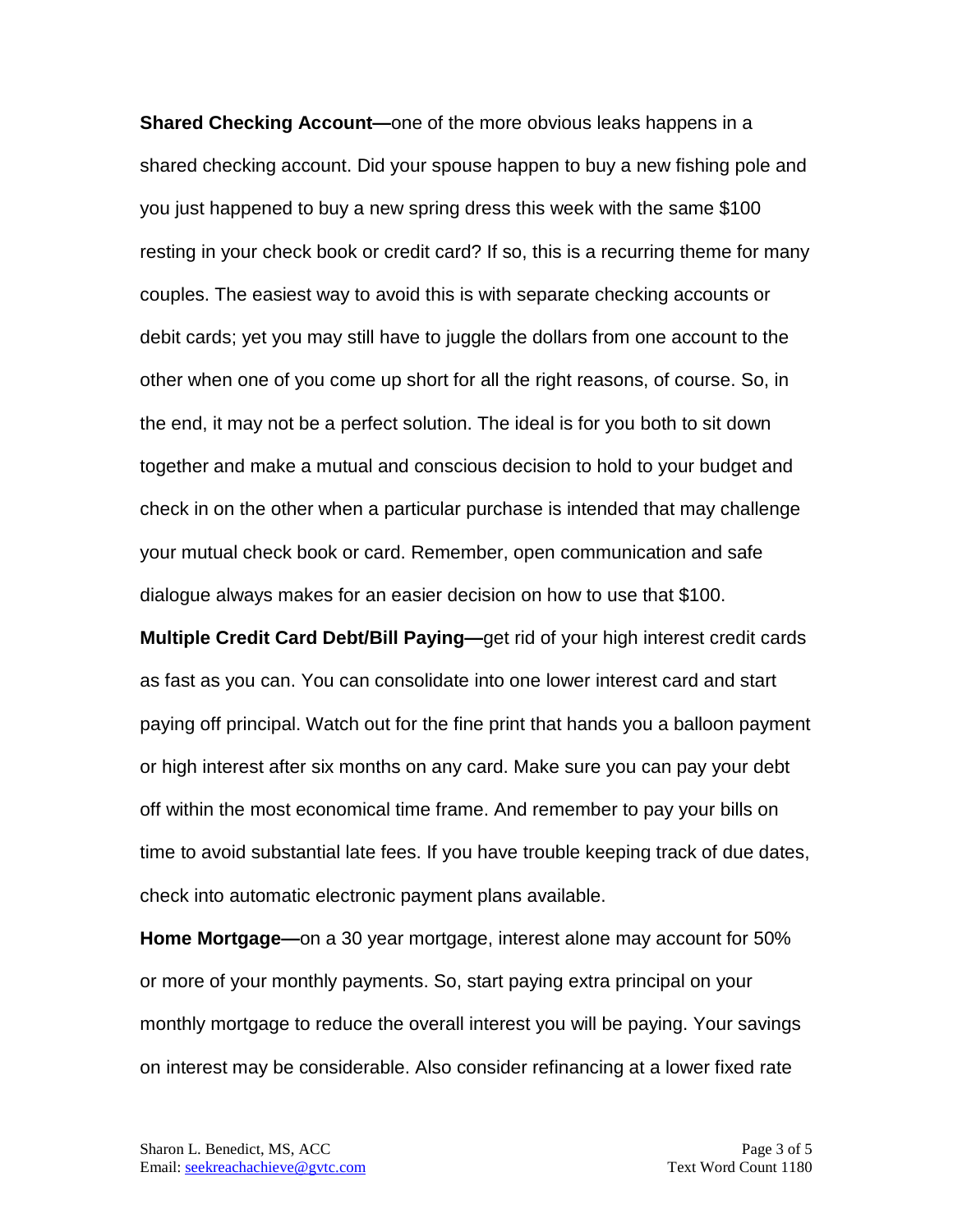**Shared Checking Account—**one of the more obvious leaks happens in a shared checking account. Did your spouse happen to buy a new fishing pole and you just happened to buy a new spring dress this week with the same \$100 resting in your check book or credit card? If so, this is a recurring theme for many couples. The easiest way to avoid this is with separate checking accounts or debit cards; yet you may still have to juggle the dollars from one account to the other when one of you come up short for all the right reasons, of course. So, in the end, it may not be a perfect solution. The ideal is for you both to sit down together and make a mutual and conscious decision to hold to your budget and check in on the other when a particular purchase is intended that may challenge your mutual check book or card. Remember, open communication and safe dialogue always makes for an easier decision on how to use that \$100.

**Multiple Credit Card Debt/Bill Paying—**get rid of your high interest credit cards as fast as you can. You can consolidate into one lower interest card and start paying off principal. Watch out for the fine print that hands you a balloon payment or high interest after six months on any card. Make sure you can pay your debt off within the most economical time frame. And remember to pay your bills on time to avoid substantial late fees. If you have trouble keeping track of due dates, check into automatic electronic payment plans available.

**Home Mortgage—**on a 30 year mortgage, interest alone may account for 50% or more of your monthly payments. So, start paying extra principal on your monthly mortgage to reduce the overall interest you will be paying. Your savings on interest may be considerable. Also consider refinancing at a lower fixed rate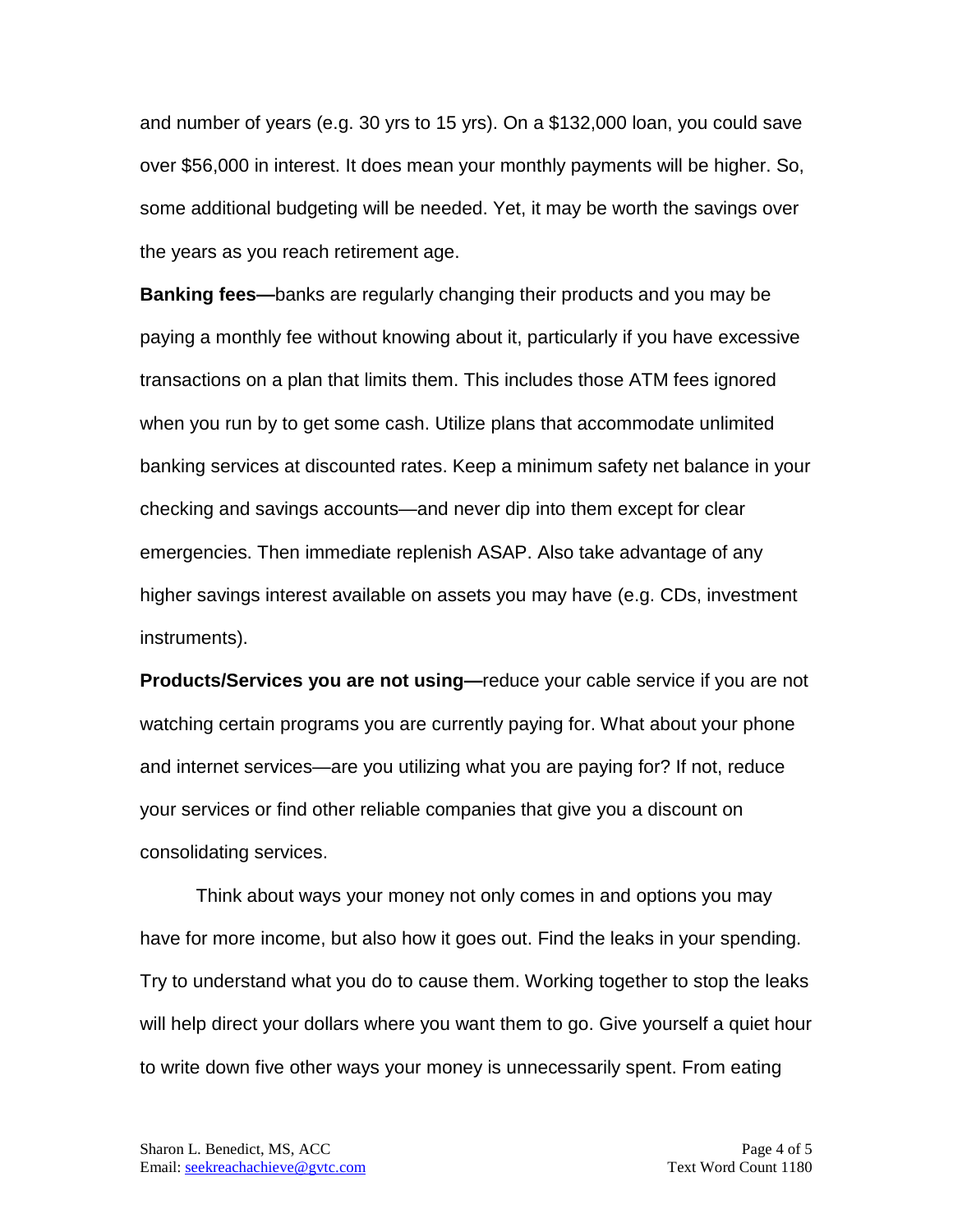and number of years (e.g. 30 yrs to 15 yrs). On a \$132,000 loan, you could save over \$56,000 in interest. It does mean your monthly payments will be higher. So, some additional budgeting will be needed. Yet, it may be worth the savings over the years as you reach retirement age.

**Banking fees—**banks are regularly changing their products and you may be paying a monthly fee without knowing about it, particularly if you have excessive transactions on a plan that limits them. This includes those ATM fees ignored when you run by to get some cash. Utilize plans that accommodate unlimited banking services at discounted rates. Keep a minimum safety net balance in your checking and savings accounts—and never dip into them except for clear emergencies. Then immediate replenish ASAP. Also take advantage of any higher savings interest available on assets you may have (e.g. CDs, investment instruments).

**Products/Services you are not using—**reduce your cable service if you are not watching certain programs you are currently paying for. What about your phone and internet services—are you utilizing what you are paying for? If not, reduce your services or find other reliable companies that give you a discount on consolidating services.

Think about ways your money not only comes in and options you may have for more income, but also how it goes out. Find the leaks in your spending. Try to understand what you do to cause them. Working together to stop the leaks will help direct your dollars where you want them to go. Give yourself a quiet hour to write down five other ways your money is unnecessarily spent. From eating